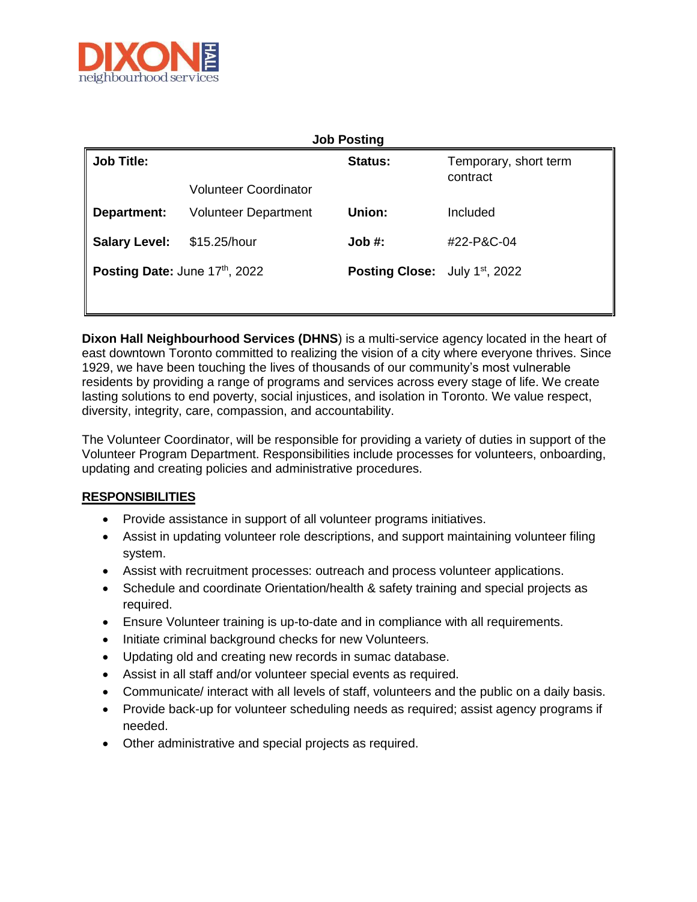

| <b>Job Posting</b>            |                             |                                      |                                   |
|-------------------------------|-----------------------------|--------------------------------------|-----------------------------------|
| <b>Job Title:</b>             | Volunteer Coordinator       | <b>Status:</b>                       | Temporary, short term<br>contract |
| Department:                   | <b>Volunteer Department</b> | Union:                               | Included                          |
| <b>Salary Level:</b>          | \$15.25/hour                | Job #:                               | #22-P&C-04                        |
| Posting Date: June 17th, 2022 |                             | <b>Posting Close:</b> July 1st, 2022 |                                   |
|                               |                             |                                      |                                   |

**Dixon Hall Neighbourhood Services (DHNS**) is a multi-service agency located in the heart of east downtown Toronto committed to realizing the vision of a city where everyone thrives. Since 1929, we have been touching the lives of thousands of our community's most vulnerable residents by providing a range of programs and services across every stage of life. We create lasting solutions to end poverty, social injustices, and isolation in Toronto. We value respect, diversity, integrity, care, compassion, and accountability.

The Volunteer Coordinator, will be responsible for providing a variety of duties in support of the Volunteer Program Department. Responsibilities include processes for volunteers, onboarding, updating and creating policies and administrative procedures.

## **RESPONSIBILITIES**

- Provide assistance in support of all volunteer programs initiatives.
- Assist in updating volunteer role descriptions, and support maintaining volunteer filing system.
- Assist with recruitment processes: outreach and process volunteer applications.
- Schedule and coordinate Orientation/health & safety training and special projects as required.
- Ensure Volunteer training is up-to-date and in compliance with all requirements.
- Initiate criminal background checks for new Volunteers.
- Updating old and creating new records in sumac database.
- Assist in all staff and/or volunteer special events as required.
- Communicate/ interact with all levels of staff, volunteers and the public on a daily basis.
- Provide back-up for volunteer scheduling needs as required; assist agency programs if needed.
- Other administrative and special projects as required.